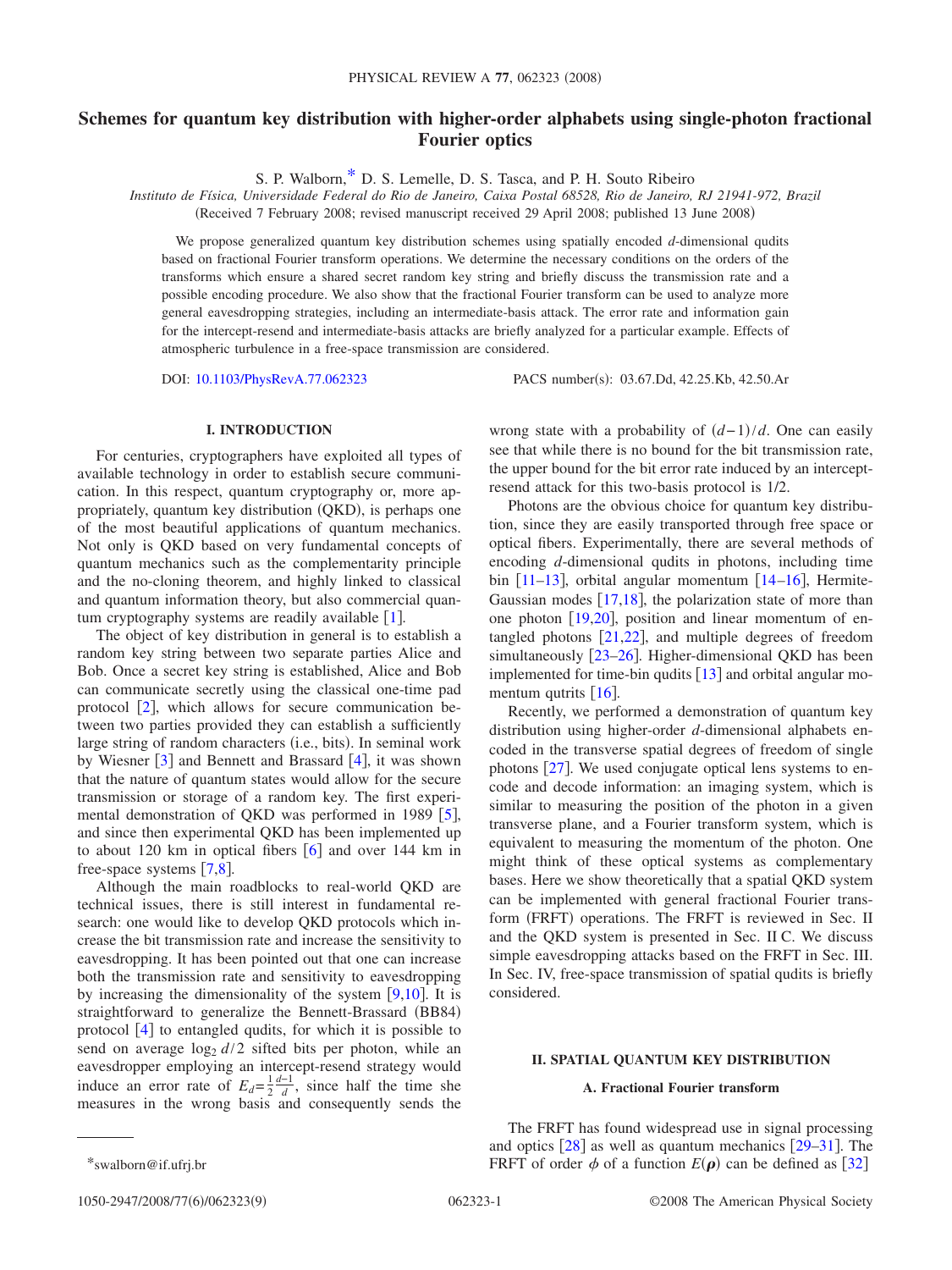# **Schemes for quantum key distribution with higher-order alphabets using single-photon fractional Fourier optics**

S. P. Walborn[,\\*](#page-0-0) D. S. Lemelle, D. S. Tasca, and P. H. Souto Ribeiro

*Instituto de Física, Universidade Federal do Rio de Janeiro, Caixa Postal 68528, Rio de Janeiro, RJ 21941-972, Brazil*

(Received 7 February 2008; revised manuscript received 29 April 2008; published 13 June 2008)

We propose generalized quantum key distribution schemes using spatially encoded *d*-dimensional qudits based on fractional Fourier transform operations. We determine the necessary conditions on the orders of the transforms which ensure a shared secret random key string and briefly discuss the transmission rate and a possible encoding procedure. We also show that the fractional Fourier transform can be used to analyze more general eavesdropping strategies, including an intermediate-basis attack. The error rate and information gain for the intercept-resend and intermediate-basis attacks are briefly analyzed for a particular example. Effects of atmospheric turbulence in a free-space transmission are considered.

DOI: [10.1103/PhysRevA.77.062323](http://dx.doi.org/10.1103/PhysRevA.77.062323)

PACS number(s): 03.67.Dd, 42.25.Kb, 42.50.Ar

## **I. INTRODUCTION**

For centuries, cryptographers have exploited all types of available technology in order to establish secure communication. In this respect, quantum cryptography or, more appropriately, quantum key distribution (QKD), is perhaps one of the most beautiful applications of quantum mechanics. Not only is QKD based on very fundamental concepts of quantum mechanics such as the complementarity principle and the no-cloning theorem, and highly linked to classical and quantum information theory, but also commercial quantum cryptography systems are readily available  $[1]$  $[1]$  $[1]$ .

The object of key distribution in general is to establish a random key string between two separate parties Alice and Bob. Once a secret key string is established, Alice and Bob can communicate secretly using the classical one-time pad protocol  $\lceil 2 \rceil$  $\lceil 2 \rceil$  $\lceil 2 \rceil$ , which allows for secure communication between two parties provided they can establish a sufficiently large string of random characters (i.e., bits). In seminal work by Wiesner  $\lceil 3 \rceil$  $\lceil 3 \rceil$  $\lceil 3 \rceil$  and Bennett and Brassard  $\lceil 4 \rceil$  $\lceil 4 \rceil$  $\lceil 4 \rceil$ , it was shown that the nature of quantum states would allow for the secure transmission or storage of a random key. The first experimental demonstration of QKD was performed in 1989  $[5]$  $[5]$  $[5]$ , and since then experimental QKD has been implemented up to about 120 km in optical fibers  $\lceil 6 \rceil$  $\lceil 6 \rceil$  $\lceil 6 \rceil$  and over 144 km in free-space systems  $\lceil 7.8 \rceil$  $\lceil 7.8 \rceil$  $\lceil 7.8 \rceil$ .

Although the main roadblocks to real-world QKD are technical issues, there is still interest in fundamental research: one would like to develop QKD protocols which increase the bit transmission rate and increase the sensitivity to eavesdropping. It has been pointed out that one can increase both the transmission rate and sensitivity to eavesdropping by increasing the dimensionality of the system  $[9,10]$  $[9,10]$  $[9,10]$  $[9,10]$ . It is straightforward to generalize the Bennett-Brassard (BB84) protocol [[4](#page-7-3)] to entangled qudits, for which it is possible to send on average  $\log_2 d/2$  sifted bits per photon, while an eavesdropper employing an intercept-resend strategy would induce an error rate of  $E_d = \frac{1}{2}$  $\frac{d-1}{d}$ , since half the time she measures in the wrong basis and consequently sends the

wrong state with a probability of  $(d-1)/d$ . One can easily see that while there is no bound for the bit transmission rate, the upper bound for the bit error rate induced by an interceptresend attack for this two-basis protocol is 1/2.

Photons are the obvious choice for quantum key distribution, since they are easily transported through free space or optical fibers. Experimentally, there are several methods of encoding *d*-dimensional qudits in photons, including time bin  $\lceil 11-13 \rceil$  $\lceil 11-13 \rceil$  $\lceil 11-13 \rceil$ , orbital angular momentum  $\lceil 14-16 \rceil$  $\lceil 14-16 \rceil$  $\lceil 14-16 \rceil$ , Hermite-Gaussian modes  $\lceil 17,18 \rceil$  $\lceil 17,18 \rceil$  $\lceil 17,18 \rceil$  $\lceil 17,18 \rceil$ , the polarization state of more than one photon  $[19,20]$  $[19,20]$  $[19,20]$  $[19,20]$ , position and linear momentum of entangled photons  $[21,22]$  $[21,22]$  $[21,22]$  $[21,22]$ , and multiple degrees of freedom simultaneously  $[23-26]$  $[23-26]$  $[23-26]$ . Higher-dimensional QKD has been implemented for time-bin qudits  $\lceil 13 \rceil$  $\lceil 13 \rceil$  $\lceil 13 \rceil$  and orbital angular momentum qutrits  $\lceil 16 \rceil$  $\lceil 16 \rceil$  $\lceil 16 \rceil$ .

Recently, we performed a demonstration of quantum key distribution using higher-order *d*-dimensional alphabets encoded in the transverse spatial degrees of freedom of single photons  $[27]$  $[27]$  $[27]$ . We used conjugate optical lens systems to encode and decode information: an imaging system, which is similar to measuring the position of the photon in a given transverse plane, and a Fourier transform system, which is equivalent to measuring the momentum of the photon. One might think of these optical systems as complementary bases. Here we show theoretically that a spatial QKD system can be implemented with general fractional Fourier transform (FRFT) operations. The FRFT is reviewed in Sec. II and the QKD system is presented in Sec. II C. We discuss simple eavesdropping attacks based on the FRFT in Sec. III. In Sec. IV, free-space transmission of spatial qudits is briefly considered.

## **II. SPATIAL QUANTUM KEY DISTRIBUTION**

#### **A. Fractional Fourier transform**

The FRFT has found widespread use in signal processing and optics  $\lceil 28 \rceil$  $\lceil 28 \rceil$  $\lceil 28 \rceil$  as well as quantum mechanics  $\lceil 29-31 \rceil$  $\lceil 29-31 \rceil$  $\lceil 29-31 \rceil$ . The \*swalborn@if.ufrj.br FRFT of order  $\phi$  of a function  $E(\rho)$  can be defined as [[32](#page-8-13)]

<span id="page-0-0"></span>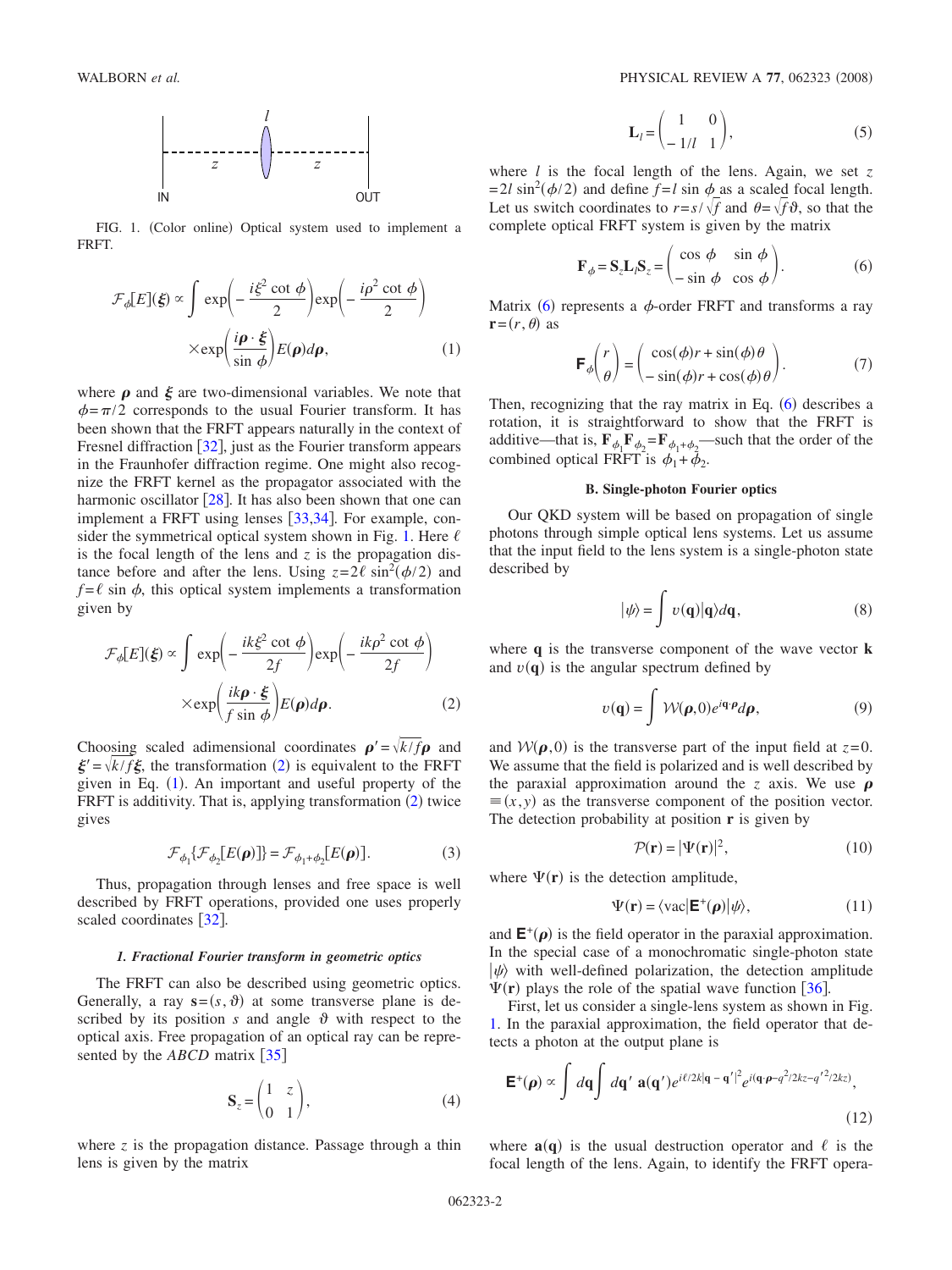<span id="page-1-0"></span>

FIG. 1. (Color online) Optical system used to implement a FRFT.

<span id="page-1-2"></span>
$$
\mathcal{F}_{\phi}[E](\xi) \propto \int \exp\left(-\frac{i\xi^2 \cot \phi}{2}\right) \exp\left(-\frac{i\rho^2 \cot \phi}{2}\right)
$$

$$
\times \exp\left(\frac{i\rho \cdot \xi}{\sin \phi}\right) E(\rho) d\rho, \tag{1}
$$

where  $\rho$  and  $\xi$  are two-dimensional variables. We note that  $\phi = \pi/2$  corresponds to the usual Fourier transform. It has been shown that the FRFT appears naturally in the context of Fresnel diffraction  $\lceil 32 \rceil$  $\lceil 32 \rceil$  $\lceil 32 \rceil$ , just as the Fourier transform appears in the Fraunhofer diffraction regime. One might also recognize the FRFT kernel as the propagator associated with the harmonic oscillator  $\lceil 28 \rceil$  $\lceil 28 \rceil$  $\lceil 28 \rceil$ . It has also been shown that one can implement a FRFT using lenses  $\lceil 33,34 \rceil$  $\lceil 33,34 \rceil$  $\lceil 33,34 \rceil$  $\lceil 33,34 \rceil$ . For example, con-sider the symmetrical optical system shown in Fig. [1.](#page-1-0) Here  $\ell$ is the focal length of the lens and  $z$  is the propagation distance before and after the lens. Using  $z=2\ell \sin^2(\phi/2)$  and  $f = \ell \sin \phi$ , this optical system implements a transformation given by

<span id="page-1-1"></span>
$$
\mathcal{F}_{\phi}[E](\xi) \propto \int \exp\left(-\frac{ik\xi^2 \cot \phi}{2f}\right) \exp\left(-\frac{ik\rho^2 \cot \phi}{2f}\right)
$$

$$
\times \exp\left(\frac{ik\rho \cdot \xi}{f \sin \phi}\right) E(\rho) d\rho. \tag{2}
$$

Choosing scaled adimensional coordinates  $\rho' = \sqrt{k/f} \rho$  and  $\mathbf{g}' = \sqrt{k/f\mathbf{g}}$ , the transformation ([2](#page-1-1)) is equivalent to the FRFT given in Eq. ([1](#page-1-2)). An important and useful property of the FRFT is additivity. That is, applying transformation ([2](#page-1-1)) twice gives

$$
\mathcal{F}_{\phi_1} \{ \mathcal{F}_{\phi_2} [E(\mathbf{\rho})] \} = \mathcal{F}_{\phi_1 + \phi_2} [E(\mathbf{\rho})]. \tag{3}
$$

<span id="page-1-6"></span>Thus, propagation through lenses and free space is well described by FRFT operations, provided one uses properly scaled coordinates [[32](#page-8-13)].

#### *1. Fractional Fourier transform in geometric optics*

The FRFT can also be described using geometric optics. Generally, a ray  $\mathbf{s} = (s, \theta)$  at some transverse plane is described by its position *s* and angle  $\vartheta$  with respect to the optical axis. Free propagation of an optical ray can be represented by the *ABCD* matrix [[35](#page-8-16)]

$$
\mathbf{S}_z = \begin{pmatrix} 1 & z \\ 0 & 1 \end{pmatrix},\tag{4}
$$

where  $z$  is the propagation distance. Passage through a thin lens is given by the matrix

$$
\mathbf{L}_l = \begin{pmatrix} 1 & 0 \\ -1/l & 1 \end{pmatrix},\tag{5}
$$

where *l* is the focal length of the lens. Again, we set *z*  $= 2l \sin^2(\phi/2)$  and define  $f = l \sin \phi$  as a scaled focal length. Let us switch coordinates to  $r = s / \sqrt{f}$  and  $\theta = \sqrt{f} \vartheta$ , so that the complete optical FRFT system is given by the matrix

$$
\mathbf{F}_{\phi} = \mathbf{S}_{z} \mathbf{L}_{i} \mathbf{S}_{z} = \begin{pmatrix} \cos \phi & \sin \phi \\ -\sin \phi & \cos \phi \end{pmatrix}.
$$
 (6)

<span id="page-1-3"></span>Matrix ([6](#page-1-3)) represents a  $\phi$ -order FRFT and transforms a ray  $\mathbf{r} = (r, \theta)$  as

$$
\mathbf{F}_{\phi} \begin{pmatrix} r \\ \theta \end{pmatrix} = \begin{pmatrix} \cos(\phi)r + \sin(\phi)\theta \\ -\sin(\phi)r + \cos(\phi)\theta \end{pmatrix} . \tag{7}
$$

<span id="page-1-7"></span>Then, recognizing that the ray matrix in Eq.  $(6)$  $(6)$  $(6)$  describes a rotation, it is straightforward to show that the FRFT is additive—that is,  $\mathbf{F}_{\phi_1} \mathbf{F}_{\phi_2} = \mathbf{F}_{\phi_1 + \phi_2}$ —such that the order of the combined optical FRFT is  $\phi_1 + \phi_2$ .

## **B. Single-photon Fourier optics**

Our QKD system will be based on propagation of single photons through simple optical lens systems. Let us assume that the input field to the lens system is a single-photon state described by

$$
|\psi\rangle = \int v(\mathbf{q})|\mathbf{q}\rangle d\mathbf{q},\qquad(8)
$$

<span id="page-1-5"></span>where **q** is the transverse component of the wave vector **k** and  $v(\mathbf{q})$  is the angular spectrum defined by

$$
v(\mathbf{q}) = \int \mathcal{W}(\boldsymbol{\rho}, 0) e^{i\mathbf{q} \cdot \boldsymbol{\rho}} d\boldsymbol{\rho},
$$
 (9)

and  $W(\rho, 0)$  is the transverse part of the input field at  $z=0$ . We assume that the field is polarized and is well described by the paraxial approximation around the *z* axis. We use  $\rho$  $\equiv$  (*x*, *y*) as the transverse component of the position vector. The detection probability at position **r** is given by

$$
\mathcal{P}(\mathbf{r}) = |\Psi(\mathbf{r})|^2,\tag{10}
$$

where  $\Psi(\mathbf{r})$  is the detection amplitude,

$$
\Psi(\mathbf{r}) = \langle \text{vac} | \mathbf{E}^+(\boldsymbol{\rho}) | \psi \rangle, \tag{11}
$$

<span id="page-1-8"></span>and  $\mathsf{E}^{+}(\rho)$  is the field operator in the paraxial approximation. In the special case of a monochromatic single-photon state  $|\psi\rangle$  with well-defined polarization, the detection amplitude  $\Psi(\mathbf{r})$  plays the role of the spatial wave function [[36](#page-8-17)].

First, let us consider a single-lens system as shown in Fig. [1.](#page-1-0) In the paraxial approximation, the field operator that detects a photon at the output plane is

<span id="page-1-4"></span>
$$
\mathbf{E}^{+}(\boldsymbol{\rho}) \propto \int d\mathbf{q} \int d\mathbf{q}' \ \mathbf{a}(\mathbf{q}') e^{i\ell/2k|\mathbf{q} - \mathbf{q}'|^{2}} e^{i(\mathbf{q} \cdot \boldsymbol{\rho} - q^{2}/2kz - q'^{2}/2kz)},
$$
\n(12)

where  $\mathbf{a}(\mathbf{q})$  is the usual destruction operator and  $\ell$  is the focal length of the lens. Again, to identify the FRFT opera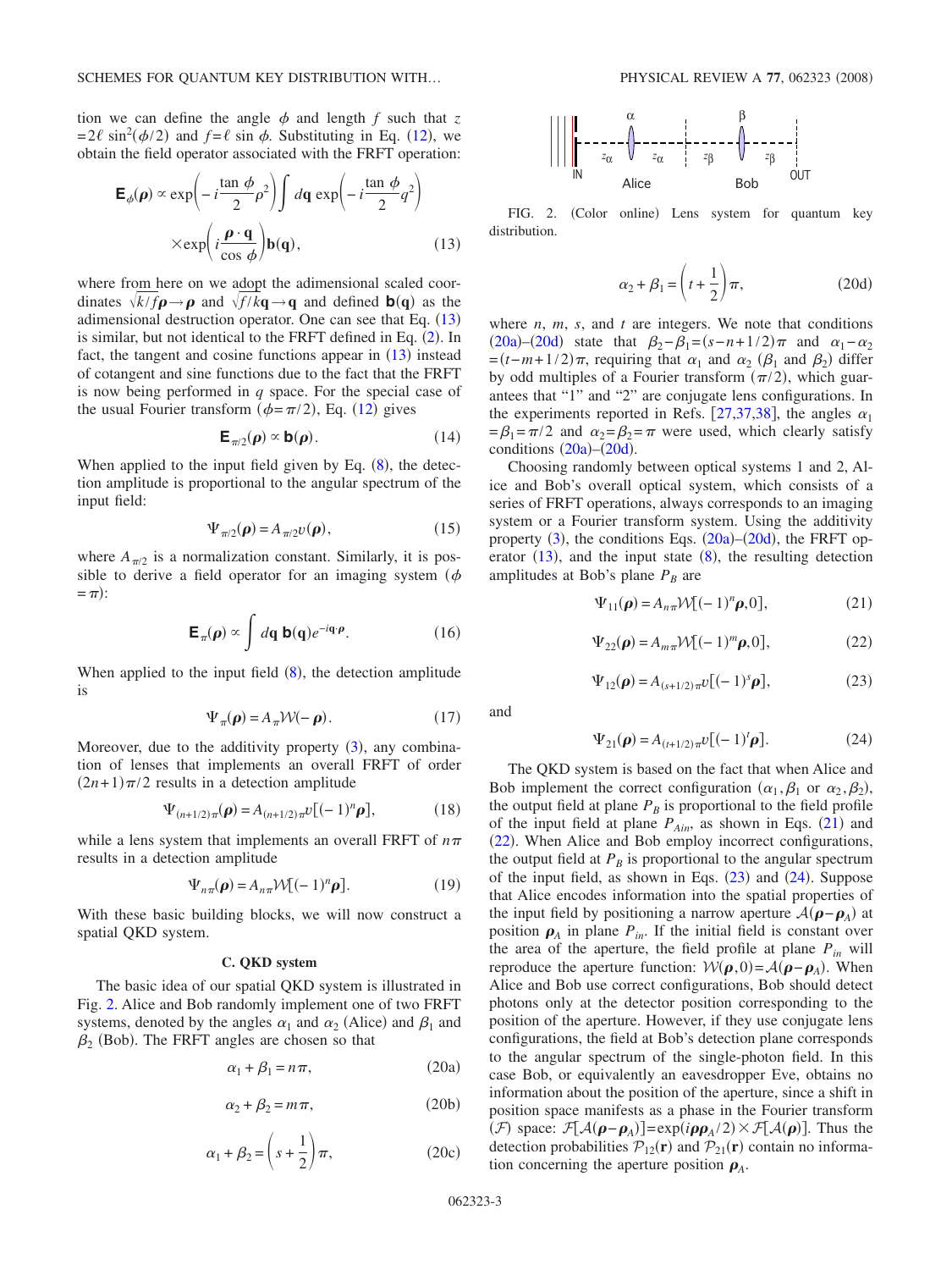tion we can define the angle  $\phi$  and length  $f$  such that  $z$  $= 2\ell \sin^2(\phi/2)$  and  $f = \ell \sin \phi$ . Substituting in Eq. ([12](#page-1-4)), we obtain the field operator associated with the FRFT operation:

<span id="page-2-0"></span>
$$
\mathbf{E}_{\phi}(\boldsymbol{\rho}) \propto \exp\left(-i\frac{\tan\phi}{2}\rho^2\right) \int d\mathbf{q} \exp\left(-i\frac{\tan\phi}{2}q^2\right)
$$

$$
\times \exp\left(i\frac{\boldsymbol{\rho}\cdot\mathbf{q}}{\cos\phi}\right) \mathbf{b}(\mathbf{q}), \qquad (13)
$$

where from here on we adopt the adimensional scaled coordinates  $\sqrt{k/f} \rho \rightarrow \rho$  and  $\sqrt{f/k} \mathbf{q} \rightarrow \mathbf{q}$  and defined **b**(**q**) as the adimensional destruction operator. One can see that Eq.  $(13)$  $(13)$  $(13)$ is similar, but not identical to the FRFT defined in Eq.  $(2)$  $(2)$  $(2)$ . In fact, the tangent and cosine functions appear in  $(13)$  $(13)$  $(13)$  instead of cotangent and sine functions due to the fact that the FRFT is now being performed in *q* space. For the special case of the usual Fourier transform  $(\phi = \pi/2)$ , Eq. ([12](#page-1-4)) gives

$$
\mathbf{E}_{\pi/2}(\boldsymbol{\rho}) \propto \mathbf{b}(\boldsymbol{\rho}). \tag{14}
$$

When applied to the input field given by Eq.  $(8)$  $(8)$  $(8)$ , the detection amplitude is proportional to the angular spectrum of the input field:

$$
\Psi_{\pi/2}(\boldsymbol{\rho}) = A_{\pi/2} v(\boldsymbol{\rho}),\tag{15}
$$

where  $A_{\pi/2}$  is a normalization constant. Similarly, it is possible to derive a field operator for an imaging system ( $\phi$ )  $=$   $\pi$ ):

$$
\mathbf{E}_{\pi}(\boldsymbol{\rho}) \propto \int d\mathbf{q} \, \mathbf{b}(\mathbf{q}) e^{-i\mathbf{q} \cdot \boldsymbol{\rho}}.
$$
 (16)

When applied to the input field  $(8)$  $(8)$  $(8)$ , the detection amplitude is

$$
\Psi_{\pi}(\boldsymbol{\rho}) = A_{\pi} \mathcal{W}(-\boldsymbol{\rho}). \tag{17}
$$

Moreover, due to the additivity property ([3](#page-1-6)), any combination of lenses that implements an overall FRFT of order  $(2n+1)\pi/2$  results in a detection amplitude

$$
\Psi_{(n+1/2)\pi}(\boldsymbol{\rho}) = A_{(n+1/2)\pi} \nu [(-1)^n \boldsymbol{\rho}], \qquad (18)
$$

while a lens system that implements an overall FRFT of  $n\pi$ results in a detection amplitude

$$
\Psi_{n\pi}(\boldsymbol{\rho}) = A_{n\pi} \mathcal{W} [(-1)^n \boldsymbol{\rho}]. \tag{19}
$$

With these basic building blocks, we will now construct a spatial QKD system.

## **C. QKD system**

<span id="page-2-2"></span>The basic idea of our spatial QKD system is illustrated in Fig. [2.](#page-2-1) Alice and Bob randomly implement one of two FRFT systems, denoted by the angles  $\alpha_1$  and  $\alpha_2$  (Alice) and  $\beta_1$  and  $\beta_2$  (Bob). The FRFT angles are chosen so that

$$
\alpha_1 + \beta_1 = n\pi,\tag{20a}
$$

$$
\alpha_2 + \beta_2 = m\pi, \qquad (20b)
$$

$$
\alpha_1 + \beta_2 = \left(s + \frac{1}{2}\right)\pi,\tag{20c}
$$

<span id="page-2-1"></span>

FIG. 2. (Color online) Lens system for quantum key distribution.

$$
\alpha_2 + \beta_1 = \left(t + \frac{1}{2}\right)\pi,\tag{20d}
$$

<span id="page-2-3"></span>where  $n$ ,  $m$ ,  $s$ , and  $t$  are integers. We note that conditions  $(20a)$  $(20a)$  $(20a)$ - $(20d)$  $(20d)$  $(20d)$  state that  $\beta_2 - \beta_1 = (s - n + 1/2)\pi$  and  $\alpha_1 - \alpha_2$  $=(t-m+1/2)\pi$ , requiring that  $\alpha_1$  and  $\alpha_2$  ( $\beta_1$  and  $\beta_2$ ) differ by odd multiples of a Fourier transform  $(\pi/2)$ , which guarantees that "1" and "2" are conjugate lens configurations. In the experiments reported in Refs. [[27](#page-8-9)[,37](#page-8-18)[,38](#page-8-19)], the angles  $\alpha_1$  $=\beta_1 = \pi/2$  and  $\alpha_2 = \beta_2 = \pi$  were used, which clearly satisfy conditions  $(20a)$  $(20a)$  $(20a)$ – $(20d)$  $(20d)$  $(20d)$ .

Choosing randomly between optical systems 1 and 2, Alice and Bob's overall optical system, which consists of a series of FRFT operations, always corresponds to an imaging system or a Fourier transform system. Using the additivity property  $(3)$  $(3)$  $(3)$ , the conditions Eqs.  $(20a)$  $(20a)$  $(20a)$ – $(20d)$  $(20d)$  $(20d)$ , the FRFT operator  $(13)$  $(13)$  $(13)$ , and the input state  $(8)$  $(8)$  $(8)$ , the resulting detection amplitudes at Bob's plane  $P_B$  are

$$
\Psi_{11}(\boldsymbol{\rho}) = A_{n\pi} \mathcal{W} [(-1)^n \boldsymbol{\rho}, 0], \qquad (21)
$$

$$
\Psi_{22}(\boldsymbol{\rho}) = A_{m\pi} \mathcal{W}[(-1)^m \boldsymbol{\rho}, 0],\tag{22}
$$

$$
\Psi_{12}(\rho) = A_{(s+1/2)\pi} \nu [(-1)^s \rho], \tag{23}
$$

<span id="page-2-6"></span><span id="page-2-5"></span><span id="page-2-4"></span>and

$$
\Psi_{21}(\rho) = A_{(t+1/2)\pi} U[(-1)^t \rho]. \tag{24}
$$

<span id="page-2-7"></span>The QKD system is based on the fact that when Alice and Bob implement the correct configuration  $(\alpha_1, \beta_1 \text{ or } \alpha_2, \beta_2)$ , the output field at plane  $P_B$  is proportional to the field profile of the input field at plane  $P_{Ain}$ , as shown in Eqs. ([21](#page-2-4)) and ([22](#page-2-5)). When Alice and Bob employ incorrect configurations, the output field at  $P_B$  is proportional to the angular spectrum of the input field, as shown in Eqs.  $(23)$  $(23)$  $(23)$  and  $(24)$  $(24)$  $(24)$ . Suppose that Alice encodes information into the spatial properties of the input field by positioning a narrow aperture  $\mathcal{A}(\rho - \rho_A)$  at position  $\rho_A$  in plane  $P_{in}$ . If the initial field is constant over the area of the aperture, the field profile at plane  $P_{in}$  will reproduce the aperture function:  $W(\rho, 0) = A(\rho - \rho_A)$ . When Alice and Bob use correct configurations, Bob should detect photons only at the detector position corresponding to the position of the aperture. However, if they use conjugate lens configurations, the field at Bob's detection plane corresponds to the angular spectrum of the single-photon field. In this case Bob, or equivalently an eavesdropper Eve, obtains no information about the position of the aperture, since a shift in position space manifests as a phase in the Fourier transform (*F*) space:  $\mathcal{F}[A(\boldsymbol{\rho}-\boldsymbol{\rho}_A)] = \exp(i \boldsymbol{\rho} \boldsymbol{\rho}_A/2) \times \mathcal{F}[A(\boldsymbol{\rho})]$ . Thus the detection probabilities  $\mathcal{P}_{12}(\mathbf{r})$  and  $\mathcal{P}_{21}(\mathbf{r})$  contain no information concerning the aperture position  $\rho_A$ .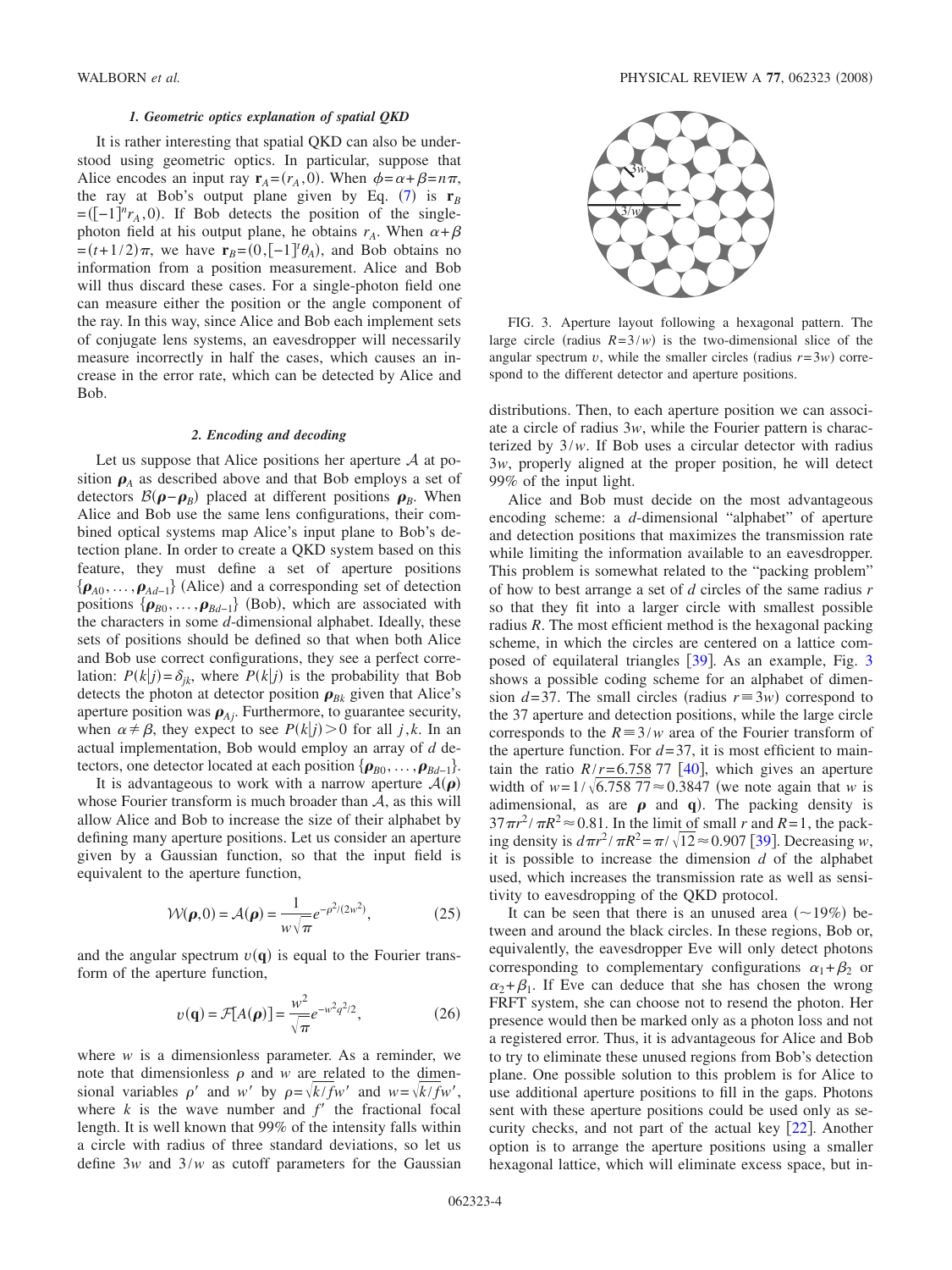## *1. Geometric optics explanation of spatial QKD*

It is rather interesting that spatial QKD can also be understood using geometric optics. In particular, suppose that Alice encodes an input ray  $\mathbf{r}_A = (r_A, 0)$ . When  $\phi = \alpha + \beta = n\pi$ , the ray at Bob's output plane given by Eq. ([7](#page-1-7)) is  $\mathbf{r}_B$  $=([-1]^n r_A, 0)$ . If Bob detects the position of the singlephoton field at his output plane, he obtains  $r_A$ . When  $\alpha + \beta$  $=(t+1/2)\pi$ , we have  $\mathbf{r}_B = (0, [-1]^t \theta_A)$ , and Bob obtains no information from a position measurement. Alice and Bob will thus discard these cases. For a single-photon field one can measure either the position or the angle component of the ray. In this way, since Alice and Bob each implement sets of conjugate lens systems, an eavesdropper will necessarily measure incorrectly in half the cases, which causes an increase in the error rate, which can be detected by Alice and Bob.

#### *2. Encoding and decoding*

Let us suppose that Alice positions her aperture  $A$  at position  $\rho_A$  as described above and that Bob employs a set of detectors  $\mathcal{B}(\rho - \rho_B)$  placed at different positions  $\rho_B$ . When Alice and Bob use the same lens configurations, their combined optical systems map Alice's input plane to Bob's detection plane. In order to create a QKD system based on this feature, they must define a set of aperture positions  $\{\boldsymbol{\rho}_{A0}, \dots, \boldsymbol{\rho}_{Ad-1}\}\$ (Alice) and a corresponding set of detection positions  $\{\boldsymbol{\rho}_{B0}, \dots, \boldsymbol{\rho}_{Bd-1}\}\$  (Bob), which are associated with the characters in some *d*-dimensional alphabet. Ideally, these sets of positions should be defined so that when both Alice and Bob use correct configurations, they see a perfect correlation:  $P(k|j) = \delta_{jk}$ , where  $P(k|j)$  is the probability that Bob detects the photon at detector position  $\rho_{Bk}$  given that Alice's aperture position was  $\rho_{Ai}$ . Furthermore, to guarantee security, when  $\alpha \neq \beta$ , they expect to see  $P(k|j) > 0$  for all *j*,*k*. In an actual implementation, Bob would employ an array of *d* detectors, one detector located at each position  $\{\boldsymbol{\rho}_{B0}, \dots, \boldsymbol{\rho}_{Bd-1}\}.$ 

It is advantageous to work with a narrow aperture  $\mathcal{A}(\boldsymbol{\rho})$ whose Fourier transform is much broader than  $A$ , as this will allow Alice and Bob to increase the size of their alphabet by defining many aperture positions. Let us consider an aperture given by a Gaussian function, so that the input field is equivalent to the aperture function,

$$
\mathcal{W}(\boldsymbol{\rho},0) = \mathcal{A}(\boldsymbol{\rho}) = \frac{1}{w\sqrt{\pi}}e^{-\rho^2/(2w^2)},
$$
\n(25)

<span id="page-3-2"></span>and the angular spectrum  $v(\mathbf{q})$  is equal to the Fourier transform of the aperture function,

$$
v(\mathbf{q}) = \mathcal{F}[A(\boldsymbol{\rho})] = \frac{w^2}{\sqrt{\pi}} e^{-w^2 q^2/2},
$$
 (26)

<span id="page-3-1"></span>where  $w$  is a dimensionless parameter. As a reminder, we note that dimensionless  $\rho$  and  $w$  are related to the dimensional variables  $\rho'$  and *w'* by  $\rho = \sqrt{k/fw'}$  and  $w = \sqrt{k/fw'}$ , where  $k$  is the wave number and  $f'$  the fractional focal length. It is well known that 99% of the intensity falls within a circle with radius of three standard deviations, so let us define 3*w* and 3/*w* as cutoff parameters for the Gaussian

<span id="page-3-0"></span>

FIG. 3. Aperture layout following a hexagonal pattern. The large circle (radius  $R = 3/w$ ) is the two-dimensional slice of the angular spectrum  $v$ , while the smaller circles (radius  $r = 3w$ ) correspond to the different detector and aperture positions.

distributions. Then, to each aperture position we can associate a circle of radius 3*w*, while the Fourier pattern is characterized by 3/*w*. If Bob uses a circular detector with radius 3*w*, properly aligned at the proper position, he will detect 99% of the input light.

Alice and Bob must decide on the most advantageous encoding scheme: a *d*-dimensional "alphabet" of aperture and detection positions that maximizes the transmission rate while limiting the information available to an eavesdropper. This problem is somewhat related to the "packing problem" of how to best arrange a set of *d* circles of the same radius *r* so that they fit into a larger circle with smallest possible radius *R*. The most efficient method is the hexagonal packing scheme, in which the circles are centered on a lattice composed of equilateral triangles  $[39]$  $[39]$  $[39]$ . As an example, Fig. [3](#page-3-0) shows a possible coding scheme for an alphabet of dimension  $d=37$ . The small circles (radius  $r \equiv 3w$ ) correspond to the 37 aperture and detection positions, while the large circle corresponds to the  $R = 3/w$  area of the Fourier transform of the aperture function. For  $d=37$ , it is most efficient to maintain the ratio  $R/r = 6.758$  77 [[40](#page-8-21)], which gives an aperture width of  $w=1/\sqrt{6.758}$  77 $\approx 0.3847$  (we note again that *w* is adimensional, as are  $\rho$  and  $q$ ). The packing density is  $37\pi r^2 / \pi R^2 \approx 0.81$ . In the limit of small *r* and *R*=1, the packing density is  $d\pi r^2 / \pi R^2 = \pi / \sqrt{12} \approx 0.907$  [[39](#page-8-20)]. Decreasing *w*, it is possible to increase the dimension *d* of the alphabet used, which increases the transmission rate as well as sensitivity to eavesdropping of the QKD protocol.

It can be seen that there is an unused area  $(\sim 19\%)$  between and around the black circles. In these regions, Bob or, equivalently, the eavesdropper Eve will only detect photons corresponding to complementary configurations  $\alpha_1 + \beta_2$  or  $\alpha_2 + \beta_1$ . If Eve can deduce that she has chosen the wrong FRFT system, she can choose not to resend the photon. Her presence would then be marked only as a photon loss and not a registered error. Thus, it is advantageous for Alice and Bob to try to eliminate these unused regions from Bob's detection plane. One possible solution to this problem is for Alice to use additional aperture positions to fill in the gaps. Photons sent with these aperture positions could be used only as security checks, and not part of the actual key  $[22]$  $[22]$  $[22]$ . Another option is to arrange the aperture positions using a smaller hexagonal lattice, which will eliminate excess space, but in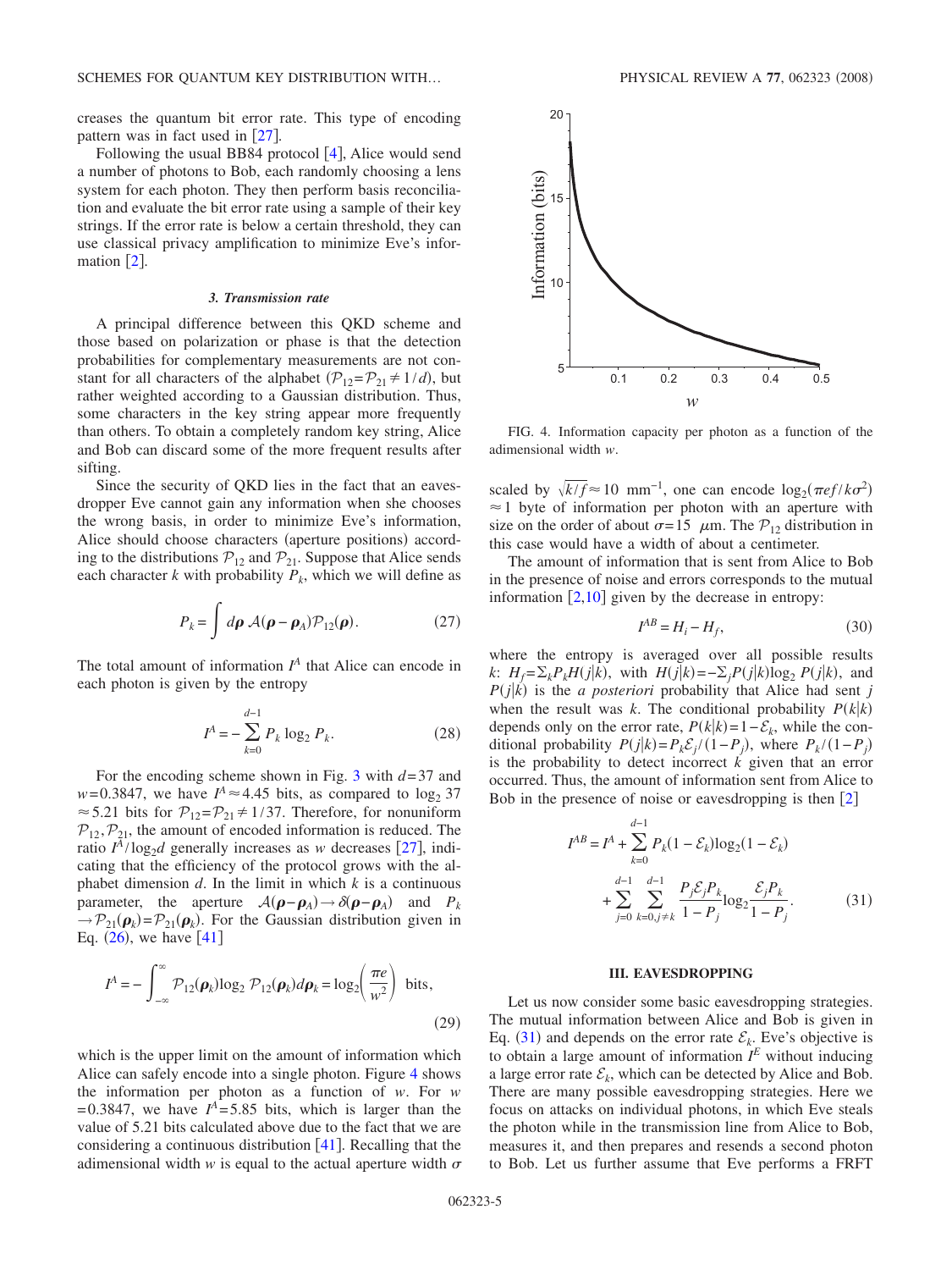creases the quantum bit error rate. This type of encoding pattern was in fact used in  $\lceil 27 \rceil$  $\lceil 27 \rceil$  $\lceil 27 \rceil$ .

Following the usual BB8[4](#page-7-3) protocol  $[4]$ , Alice would send a number of photons to Bob, each randomly choosing a lens system for each photon. They then perform basis reconciliation and evaluate the bit error rate using a sample of their key strings. If the error rate is below a certain threshold, they can use classical privacy amplification to minimize Eve's information  $\lceil 2 \rceil$  $\lceil 2 \rceil$  $\lceil 2 \rceil$ .

### *3. Transmission rate*

A principal difference between this QKD scheme and those based on polarization or phase is that the detection probabilities for complementary measurements are not constant for all characters of the alphabet  $(\mathcal{P}_{12} = \mathcal{P}_{21} \neq 1/d)$ , but rather weighted according to a Gaussian distribution. Thus, some characters in the key string appear more frequently than others. To obtain a completely random key string, Alice and Bob can discard some of the more frequent results after sifting.

Since the security of QKD lies in the fact that an eavesdropper Eve cannot gain any information when she chooses the wrong basis, in order to minimize Eve's information, Alice should choose characters (aperture positions) according to the distributions  $P_{12}$  and  $P_{21}$ . Suppose that Alice sends each character *k* with probability  $P_k$ , which we will define as

$$
P_k = \int d\rho \,\mathcal{A}(\rho - \rho_A) \mathcal{P}_{12}(\rho). \tag{27}
$$

<span id="page-4-2"></span>The total amount of information  $I<sup>A</sup>$  that Alice can encode in each photon is given by the entropy

$$
I^A = -\sum_{k=0}^{d-1} P_k \log_2 P_k.
$$
 (28)

For the encoding scheme shown in Fig. [3](#page-3-0) with *d*= 37 and  $w=0.3847$ , we have  $I^A \approx 4.45$  bits, as compared to  $\log_2 37$  $\approx$  5.21 bits for  $\mathcal{P}_{12} = \mathcal{P}_{21} \neq 1/37$ . Therefore, for nonuniform  $\mathcal{P}_{12}$ ,  $\mathcal{P}_{21}$ , the amount of encoded information is reduced. The ratio  $I^A/\log_2 d$  generally increases as *w* decreases [[27](#page-8-9)], indicating that the efficiency of the protocol grows with the alphabet dimension  $d$ . In the limit in which  $k$  is a continuous parameter, the aperture  $A(\rho - \rho_A) \to \delta(\rho - \rho_A)$  and  $P_k$  $\rightarrow P_{21}(\boldsymbol{\rho}_k) = P_{21}(\boldsymbol{\rho}_k)$ . For the Gaussian distribution given in Eq.  $(26)$  $(26)$  $(26)$ , we have  $[41]$  $[41]$  $[41]$ 

$$
I^{A} = -\int_{-\infty}^{\infty} \mathcal{P}_{12}(\boldsymbol{\rho}_{k}) \log_{2} \mathcal{P}_{12}(\boldsymbol{\rho}_{k}) d\boldsymbol{\rho}_{k} = \log_{2} \left(\frac{\pi e}{w^{2}}\right) \text{ bits},
$$
\n(29)

which is the upper limit on the amount of information which Alice can safely encode into a single photon. Figure [4](#page-4-0) shows the information per photon as a function of *w*. For *w*  $= 0.3847$ , we have  $I<sup>A</sup> = 5.85$  bits, which is larger than the value of 5.21 bits calculated above due to the fact that we are considering a continuous distribution  $[41]$  $[41]$  $[41]$ . Recalling that the adimensional width  $w$  is equal to the actual aperture width  $\sigma$ 

<span id="page-4-0"></span>

FIG. 4. Information capacity per photon as a function of the adimensional width *w*.

scaled by  $\sqrt{k/f} \approx 10 \text{ mm}^{-1}$ , one can encode  $\log_2(\pi e f / k \sigma^2)$  $\approx$  1 byte of information per photon with an aperture with size on the order of about  $\sigma = 15$   $\mu$ m. The  $\mathcal{P}_{12}$  distribution in this case would have a width of about a centimeter.

The amount of information that is sent from Alice to Bob in the presence of noise and errors corresponds to the mutual information  $[2,10]$  $[2,10]$  $[2,10]$  $[2,10]$  given by the decrease in entropy:

$$
I^{AB} = H_i - H_f,\tag{30}
$$

where the entropy is averaged over all possible results *k*:  $H_f = \sum_k P_k H(j|k)$ , with  $H(j|k) = -\sum_j P(j|k) \log_2 P(j|k)$ , and  $P(j|k)$  is the *a posteriori* probability that Alice had sent *j* when the result was *k*. The conditional probability  $P(k|k)$ depends only on the error rate,  $P(k|k) = 1 - \mathcal{E}_k$ , while the conditional probability  $P(j|k) = P_k \mathcal{E}_j / (1 - P_j)$ , where  $P_k / (1 - P_j)$ is the probability to detect incorrect *k* given that an error occurred. Thus, the amount of information sent from Alice to Bob in the presence of noise or eavesdropping is then  $[2]$  $[2]$  $[2]$ 

<span id="page-4-1"></span>
$$
I^{AB} = I^{A} + \sum_{k=0}^{d-1} P_{k}(1 - \mathcal{E}_{k}) \log_{2}(1 - \mathcal{E}_{k})
$$
  
+ 
$$
\sum_{j=0}^{d-1} \sum_{k=0, j \neq k}^{d-1} \frac{P_{j} \mathcal{E}_{j} P_{k}}{1 - P_{j}} \log_{2} \frac{\mathcal{E}_{j} P_{k}}{1 - P_{j}}.
$$
(31)

#### **III. EAVESDROPPING**

Let us now consider some basic eavesdropping strategies. The mutual information between Alice and Bob is given in Eq. ([31](#page-4-1)) and depends on the error rate  $\mathcal{E}_k$ . Eve's objective is to obtain a large amount of information  $I^E$  without inducing a large error rate  $\mathcal{E}_k$ , which can be detected by Alice and Bob. There are many possible eavesdropping strategies. Here we focus on attacks on individual photons, in which Eve steals the photon while in the transmission line from Alice to Bob, measures it, and then prepares and resends a second photon to Bob. Let us further assume that Eve performs a FRFT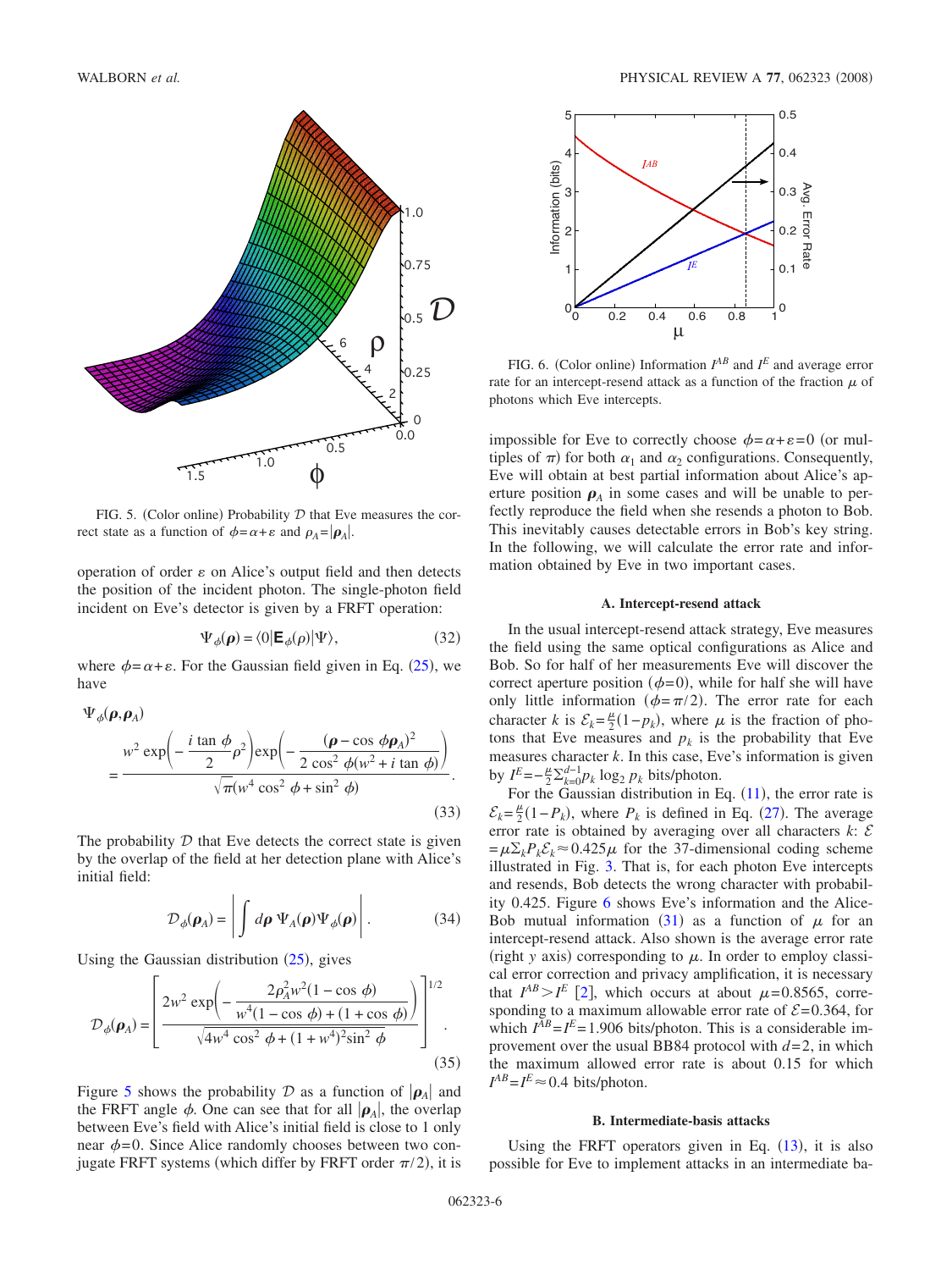<span id="page-5-0"></span>

FIG. 5. (Color online) Probability  $D$  that Eve measures the correct state as a function of  $\phi = \alpha + \varepsilon$  and  $\rho_A = |\rho_A|$ .

operation of order  $\varepsilon$  on Alice's output field and then detects the position of the incident photon. The single-photon field incident on Eve's detector is given by a FRFT operation:

$$
\Psi_{\phi}(\boldsymbol{\rho}) = \langle 0 | \mathbf{E}_{\phi}(\rho) | \Psi \rangle, \tag{32}
$$

where  $\phi = \alpha + \varepsilon$ . For the Gaussian field given in Eq. ([25](#page-3-2)), we have

$$
\Psi_{\phi}(\boldsymbol{\rho}, \boldsymbol{\rho}_{A})
$$
\n
$$
= \frac{w^{2} \exp\left(-\frac{i \tan \phi}{2} \rho^{2}\right) \exp\left(-\frac{(\boldsymbol{\rho} - \cos \phi \boldsymbol{\rho}_{A})^{2}}{2 \cos^{2} \phi(w^{2} + i \tan \phi)}\right)}{\sqrt{\pi}(w^{4} \cos^{2} \phi + \sin^{2} \phi)}.
$$
\n(33)

The probability  $D$  that Eve detects the correct state is given by the overlap of the field at her detection plane with Alice's initial field:

$$
\mathcal{D}_{\phi}(\boldsymbol{\rho}_A) = \left| \int d\boldsymbol{\rho} \, \Psi_A(\boldsymbol{\rho}) \Psi_{\phi}(\boldsymbol{\rho}) \right|.
$$
 (34)

Using the Gaussian distribution  $(25)$  $(25)$  $(25)$ , gives

<span id="page-5-2"></span>
$$
\mathcal{D}_{\phi}(\rho_A) = \left[ \frac{2w^2 \exp\left(-\frac{2\rho_A^2 w^2 (1 - \cos \phi)}{w^4 (1 - \cos \phi) + (1 + \cos \phi)}\right)}{\sqrt{4w^4 \cos^2 \phi + (1 + w^4)^2 \sin^2 \phi}} \right]^{1/2}.
$$
\n(35)

Figure [5](#page-5-0) shows the probability D as a function of  $|\rho_A|$  and the FRFT angle  $\phi$ . One can see that for all  $|\rho_A|$ , the overlap between Eve's field with Alice's initial field is close to 1 only near  $\phi = 0$ . Since Alice randomly chooses between two conjugate FRFT systems (which differ by FRFT order  $\pi/2$ ), it is

<span id="page-5-1"></span>

FIG. 6. (Color online) Information  $I^{AB}$  and  $I^E$  and average error rate for an intercept-resend attack as a function of the fraction  $\mu$  of photons which Eve intercepts.

impossible for Eve to correctly choose  $\phi = \alpha + \varepsilon = 0$  (or multiples of  $\pi$ ) for both  $\alpha_1$  and  $\alpha_2$  configurations. Consequently, Eve will obtain at best partial information about Alice's aperture position  $\rho_A$  in some cases and will be unable to perfectly reproduce the field when she resends a photon to Bob. This inevitably causes detectable errors in Bob's key string. In the following, we will calculate the error rate and information obtained by Eve in two important cases.

#### **A. Intercept-resend attack**

In the usual intercept-resend attack strategy, Eve measures the field using the same optical configurations as Alice and Bob. So for half of her measurements Eve will discover the correct aperture position ( $\phi = 0$ ), while for half she will have only little information ( $\phi = \pi/2$ ). The error rate for each character *k* is  $\mathcal{E}_k = \frac{\mu}{2}(1 - p_k)$ , where  $\mu$  is the fraction of photons that Eve measures and  $p_k$  is the probability that Eve measures character  $k$ . In this case, Eve's information is given by  $I^E = -\frac{\mu}{2} \sum_{k=0}^{d-1} p_k \log_2 p_k$  bits/photon.

For the Gaussian distribution in Eq.  $(11)$  $(11)$  $(11)$ , the error rate is  $\mathcal{E}_k = \frac{\mu}{2}(1 - P_k)$ , where  $P_k$  is defined in Eq. ([27](#page-4-2)). The average error rate is obtained by averaging over all characters  $k: \mathcal{E}$  $=\mu\Sigma_k P_k \mathcal{E}_k \approx 0.425 \mu$  for the 37-dimensional coding scheme illustrated in Fig. [3.](#page-3-0) That is, for each photon Eve intercepts and resends, Bob detects the wrong character with probability 0.425. Figure [6](#page-5-1) shows Eve's information and the Alice-Bob mutual information ([31](#page-4-1)) as a function of  $\mu$  for an intercept-resend attack. Also shown is the average error rate (right *y* axis) corresponding to  $\mu$ . In order to employ classical error correction and privacy amplification, it is necessary that  $I^{AB} > I^E$  [[2](#page-7-1)], which occurs at about  $\mu = 0.8565$ , corresponding to a maximum allowable error rate of  $\mathcal{E} = 0.364$ , for which  $I^{AB} = I^E = 1.906$  bits/photon. This is a considerable improvement over the usual BB84 protocol with *d*= 2, in which the maximum allowed error rate is about 0.15 for which  $I^{AB} = I^E \approx 0.4$  bits/photon.

#### **B. Intermediate-basis attacks**

Using the FRFT operators given in Eq.  $(13)$  $(13)$  $(13)$ , it is also possible for Eve to implement attacks in an intermediate ba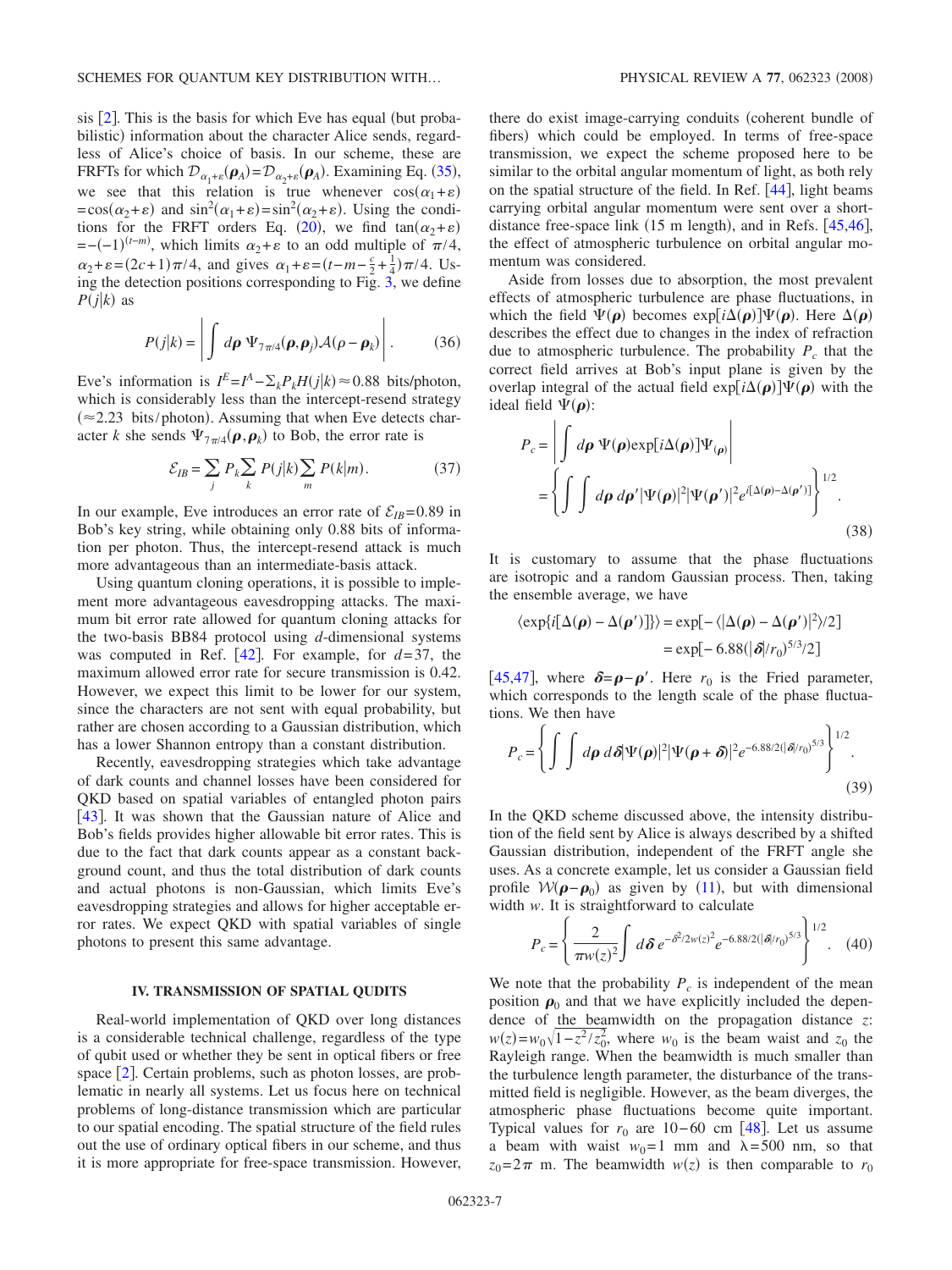sis  $[2]$  $[2]$  $[2]$ . This is the basis for which Eve has equal (but probabilistic) information about the character Alice sends, regardless of Alice's choice of basis. In our scheme, these are FRFTs for which  $\mathcal{D}_{\alpha_1+\epsilon}(\boldsymbol{\rho}_A) = \mathcal{D}_{\alpha_2+\epsilon}(\boldsymbol{\rho}_A)$ . Examining Eq. ([35](#page-5-2)), we see that this relation is true whenever  $cos(\alpha_1+\varepsilon)$  $=\cos(\alpha_2+\epsilon)$  and  $\sin^2(\alpha_1+\epsilon)=\sin^2(\alpha_2+\epsilon)$ . Using the condi-tions for the FRFT orders Eq. ([20](#page-2-2)), we find  $tan(\alpha_2 + \epsilon)$  $= -(-1)^{(t-m)}$ , which limits  $\alpha_2 + \varepsilon$  to an odd multiple of  $\pi/4$ ,  $\alpha_2 + \varepsilon = (2c + 1)\pi/4$ , and gives  $\alpha_1 + \varepsilon = (t - m - \frac{c}{2} + \frac{1}{4})\pi/4$ . Using the detection positions corresponding to Fig. [3,](#page-3-0) we define  $P(j|k)$  as

$$
P(j|k) = \left| \int d\rho \, \Psi_{7\pi/4}(\rho, \rho_j) \mathcal{A}(\rho - \rho_k) \right|.
$$
 (36)

Eve's information is  $I^E = I^A - \sum_k P_k H(j|k) \approx 0.88$  bits/photon, which is considerably less than the intercept-resend strategy  $(\approx 2.23 \text{ bits/photon})$ . Assuming that when Eve detects character *k* she sends  $\Psi_{7\pi/4}(\boldsymbol{\rho}, \boldsymbol{\rho}_k)$  to Bob, the error rate is

$$
\mathcal{E}_{IB} = \sum_{j} P_k \sum_{k} P(j|k) \sum_{m} P(k|m). \tag{37}
$$

In our example, Eve introduces an error rate of  $\mathcal{E}_{IB}$ =0.89 in Bob's key string, while obtaining only 0.88 bits of information per photon. Thus, the intercept-resend attack is much more advantageous than an intermediate-basis attack.

Using quantum cloning operations, it is possible to implement more advantageous eavesdropping attacks. The maximum bit error rate allowed for quantum cloning attacks for the two-basis BB84 protocol using *d*-dimensional systems was computed in Ref.  $[42]$  $[42]$  $[42]$ . For example, for  $d=37$ , the maximum allowed error rate for secure transmission is 0.42. However, we expect this limit to be lower for our system, since the characters are not sent with equal probability, but rather are chosen according to a Gaussian distribution, which has a lower Shannon entropy than a constant distribution.

Recently, eavesdropping strategies which take advantage of dark counts and channel losses have been considered for QKD based on spatial variables of entangled photon pairs [[43](#page-8-24)]. It was shown that the Gaussian nature of Alice and Bob's fields provides higher allowable bit error rates. This is due to the fact that dark counts appear as a constant background count, and thus the total distribution of dark counts and actual photons is non-Gaussian, which limits Eve's eavesdropping strategies and allows for higher acceptable error rates. We expect QKD with spatial variables of single photons to present this same advantage.

## **IV. TRANSMISSION OF SPATIAL QUDITS**

Real-world implementation of QKD over long distances is a considerable technical challenge, regardless of the type of qubit used or whether they be sent in optical fibers or free space  $[2]$  $[2]$  $[2]$ . Certain problems, such as photon losses, are problematic in nearly all systems. Let us focus here on technical problems of long-distance transmission which are particular to our spatial encoding. The spatial structure of the field rules out the use of ordinary optical fibers in our scheme, and thus it is more appropriate for free-space transmission. However,

there do exist image-carrying conduits (coherent bundle of fibers) which could be employed. In terms of free-space transmission, we expect the scheme proposed here to be similar to the orbital angular momentum of light, as both rely on the spatial structure of the field. In Ref.  $[44]$  $[44]$  $[44]$ , light beams carrying orbital angular momentum were sent over a shortdistance free-space link  $(15 \text{ m length})$ , and in Refs.  $[45,46]$  $[45,46]$  $[45,46]$  $[45,46]$ , the effect of atmospheric turbulence on orbital angular momentum was considered.

Aside from losses due to absorption, the most prevalent effects of atmospheric turbulence are phase fluctuations, in which the field  $\Psi(\rho)$  becomes  $\exp[i\Delta(\rho)]\Psi(\rho)$ . Here  $\Delta(\rho)$ describes the effect due to changes in the index of refraction due to atmospheric turbulence. The probability  $P_c$  that the correct field arrives at Bob's input plane is given by the overlap integral of the actual field  $exp[i\Delta(\boldsymbol{\rho})]\Psi(\boldsymbol{\rho})$  with the ideal field  $\Psi(\boldsymbol{\rho})$ :

$$
P_c = \left| \int d\rho \, \Psi(\rho) \exp[i\Delta(\rho)] \Psi_{(\rho)} \right|
$$
  
= 
$$
\left\{ \int \int d\rho \, d\rho' |\Psi(\rho)|^2 |\Psi(\rho')|^2 e^{i[\Delta(\rho) - \Delta(\rho')]}\right\}^{1/2}.
$$
 (38)

It is customary to assume that the phase fluctuations are isotropic and a random Gaussian process. Then, taking the ensemble average, we have

$$
\langle \exp\{i[\Delta(\boldsymbol{\rho}) - \Delta(\boldsymbol{\rho}')] \} \rangle = \exp[-\langle |\Delta(\boldsymbol{\rho}) - \Delta(\boldsymbol{\rho}')|^2 \rangle / 2]
$$
  
=  $\exp[-6.88(|\delta|/r_0)^{5/3}/2]$ 

[[45,](#page-8-26)[47](#page-8-28)], where  $\delta = \rho - \rho'$ . Here  $r_0$  is the Fried parameter, which corresponds to the length scale of the phase fluctuations. We then have

$$
P_c = \left\{ \int \int d\boldsymbol{\rho} \, d\delta |\Psi(\boldsymbol{\rho})|^2 |\Psi(\boldsymbol{\rho}+\boldsymbol{\delta})|^2 e^{-6.88/2(|\delta|/r_0)^{5/3}} \right\}^{1/2}.
$$
\n(39)

In the QKD scheme discussed above, the intensity distribution of the field sent by Alice is always described by a shifted Gaussian distribution, independent of the FRFT angle she uses. As a concrete example, let us consider a Gaussian field profile  $W(\mathbf{p} - \mathbf{p}_0)$  as given by ([11](#page-1-8)), but with dimensional width *w*. It is straightforward to calculate

$$
P_c = \left\{ \frac{2}{\pi w(z)^2} \int d\delta \, e^{-\delta^2/2w(z)^2} e^{-6.88/2(|\delta|/r_0)^{5/3}} \right\}^{1/2}.
$$
 (40)

We note that the probability  $P_c$  is independent of the mean position  $\rho_0$  and that we have explicitly included the dependence of the beamwidth on the propagation distance *z*:  $w(z) = w_0 \sqrt{1 - z^2/z_0^2}$ , where  $w_0$  is the beam waist and  $z_0$  the Rayleigh range. When the beamwidth is much smaller than the turbulence length parameter, the disturbance of the transmitted field is negligible. However, as the beam diverges, the atmospheric phase fluctuations become quite important. Typical values for  $r_0$  are 10−60 cm [[48](#page-8-29)]. Let us assume a beam with waist  $w_0 = 1$  mm and  $\lambda = 500$  nm, so that  $z_0 = 2\pi$  m. The beamwidth  $w(z)$  is then comparable to  $r_0$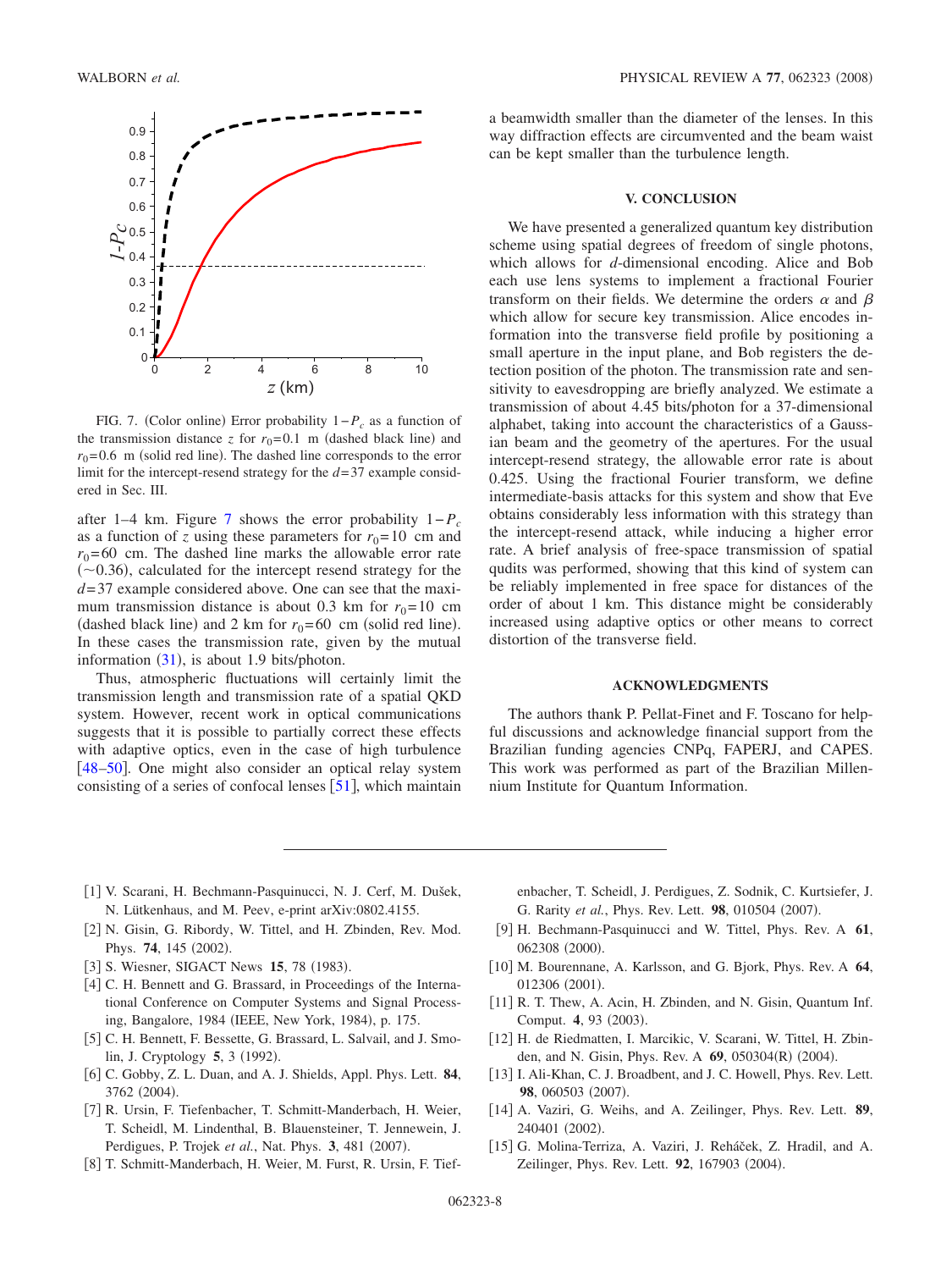<span id="page-7-13"></span>

FIG. 7. (Color online) Error probability  $1-P_c$  as a function of the transmission distance  $z$  for  $r_0=0.1$  m (dashed black line) and  $r_0$ =0.6 m (solid red line). The dashed line corresponds to the error limit for the intercept-resend strategy for the *d*= 37 example considered in Sec. III.

after 1–4 km. Figure [7](#page-7-13) shows the error probability 1−*Pc* as a function of *z* using these parameters for  $r_0 = 10$  cm and  $r_0$ = 60 cm. The dashed line marks the allowable error rate  $(\sim 0.36)$ , calculated for the intercept resend strategy for the *d*= 37 example considered above. One can see that the maximum transmission distance is about 0.3 km for  $r_0 = 10$  cm (dashed black line) and 2 km for  $r_0$ =60 cm (solid red line). In these cases the transmission rate, given by the mutual information  $(31)$  $(31)$  $(31)$ , is about 1.9 bits/photon.

Thus, atmospheric fluctuations will certainly limit the transmission length and transmission rate of a spatial QKD system. However, recent work in optical communications suggests that it is possible to partially correct these effects with adaptive optics, even in the case of high turbulence [ $48-50$  $48-50$ ]. One might also consider an optical relay system consisting of a series of confocal lenses  $[51]$  $[51]$  $[51]$ , which maintain a beamwidth smaller than the diameter of the lenses. In this way diffraction effects are circumvented and the beam waist can be kept smaller than the turbulence length.

## **V. CONCLUSION**

We have presented a generalized quantum key distribution scheme using spatial degrees of freedom of single photons, which allows for *d*-dimensional encoding. Alice and Bob each use lens systems to implement a fractional Fourier transform on their fields. We determine the orders  $\alpha$  and  $\beta$ which allow for secure key transmission. Alice encodes information into the transverse field profile by positioning a small aperture in the input plane, and Bob registers the detection position of the photon. The transmission rate and sensitivity to eavesdropping are briefly analyzed. We estimate a transmission of about 4.45 bits/photon for a 37-dimensional alphabet, taking into account the characteristics of a Gaussian beam and the geometry of the apertures. For the usual intercept-resend strategy, the allowable error rate is about 0.425. Using the fractional Fourier transform, we define intermediate-basis attacks for this system and show that Eve obtains considerably less information with this strategy than the intercept-resend attack, while inducing a higher error rate. A brief analysis of free-space transmission of spatial qudits was performed, showing that this kind of system can be reliably implemented in free space for distances of the order of about 1 km. This distance might be considerably increased using adaptive optics or other means to correct distortion of the transverse field.

#### **ACKNOWLEDGMENTS**

The authors thank P. Pellat-Finet and F. Toscano for helpful discussions and acknowledge financial support from the Brazilian funding agencies CNPq, FAPERJ, and CAPES. This work was performed as part of the Brazilian Millennium Institute for Quantum Information.

- 1 V. Scarani, H. Bechmann-Pasquinucci, N. J. Cerf, M. Dušek, N. Lütkenhaus, and M. Peev, e-print arXiv:0802.4155.
- <span id="page-7-0"></span>[2] N. Gisin, G. Ribordy, W. Tittel, and H. Zbinden, Rev. Mod. Phys. 74, 145 (2002).
- <span id="page-7-1"></span>[3] S. Wiesner, SIGACT News **15**, 78 (1983).
- <span id="page-7-3"></span><span id="page-7-2"></span>[4] C. H. Bennett and G. Brassard, in Proceedings of the International Conference on Computer Systems and Signal Processing, Bangalore, 1984 (IEEE, New York, 1984), p. 175.
- [5] C. H. Bennett, F. Bessette, G. Brassard, L. Salvail, and J. Smolin, J. Cryptology 5, 3 (1992).
- <span id="page-7-4"></span>6 C. Gobby, Z. L. Duan, and A. J. Shields, Appl. Phys. Lett. **84**, 3762 (2004).
- <span id="page-7-6"></span><span id="page-7-5"></span>[7] R. Ursin, F. Tiefenbacher, T. Schmitt-Manderbach, H. Weier, T. Scheidl, M. Lindenthal, B. Blauensteiner, T. Jennewein, J. Perdigues, P. Trojek et al., Nat. Phys. 3, 481 (2007).
- <span id="page-7-7"></span>[8] T. Schmitt-Manderbach, H. Weier, M. Furst, R. Ursin, F. Tief-

enbacher, T. Scheidl, J. Perdigues, Z. Sodnik, C. Kurtsiefer, J. G. Rarity et al., Phys. Rev. Lett. 98, 010504 (2007).

- 9 H. Bechmann-Pasquinucci and W. Tittel, Phys. Rev. A **61**, 062308 (2000).
- <span id="page-7-8"></span>[10] M. Bourennane, A. Karlsson, and G. Bjork, Phys. Rev. A 64, 012306 (2001).
- <span id="page-7-9"></span>[11] R. T. Thew, A. Acin, H. Zbinden, and N. Gisin, Quantum Inf. Comput. 4, 93 (2003).
- <span id="page-7-10"></span>12 H. de Riedmatten, I. Marcikic, V. Scarani, W. Tittel, H. Zbinden, and N. Gisin, Phys. Rev. A 69, 050304(R) (2004).
- [13] I. Ali-Khan, C. J. Broadbent, and J. C. Howell, Phys. Rev. Lett. 98, 060503 (2007).
- <span id="page-7-11"></span>14 A. Vaziri, G. Weihs, and A. Zeilinger, Phys. Rev. Lett. **89**, 240401 (2002).
- <span id="page-7-12"></span>15 G. Molina-Terriza, A. Vaziri, J. Reháček, Z. Hradil, and A. Zeilinger, Phys. Rev. Lett. 92, 167903 (2004).